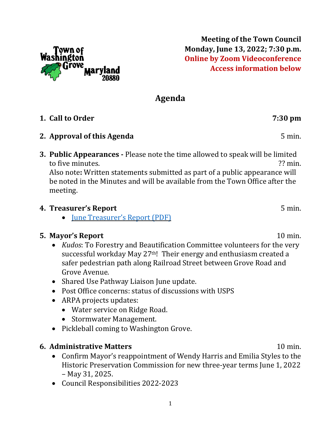

**Meeting of the Town Council Monday, June 13, 2022; 7:30 p.m. Online by Zoom Videoconference Access information below**

# **Agenda**

## **1. Call to Order 7:30 pm**

#### **2. Approval of this Agenda** 5 min.

**3. Public Appearances -** Please note the time allowed to speak will be limited to five minutes.  $\mathcal{C}$  min.

Also note**:** Written statements submitted as part of a public appearance will be noted in the Minutes and will be available from the Town Office after the meeting.

#### **4. Treasurer's Report** 5 min.

• **June [Treasurer's](https://washingtongrovemd.org/wp-content/uploads/2022/06/June-2022-Treasurers-Report.pdf) Report (PDF)** 

#### **5. Mayor's Report** 10 min.

- *Kudos*: To Forestry and Beautification Committee volunteers for the very successful workday May 27<sup>th</sup>! Their energy and enthusiasm created a safer pedestrian path along Railroad Street between Grove Road and Grove Avenue.
- Shared Use Pathway Liaison June update.
- Post Office concerns: status of discussions with USPS
- ARPA projects updates:
	- Water service on Ridge Road.
	- Stormwater Management.
- Pickleball coming to Washington Grove.

#### **6. Administrative Matters** 10 min.

- Confirm Mayor's reappointment of Wendy Harris and Emilia Styles to the Historic Preservation Commission for new three-year terms June 1, 2022 – May 31, 2025.
- Council Responsibilities 2022-2023

1